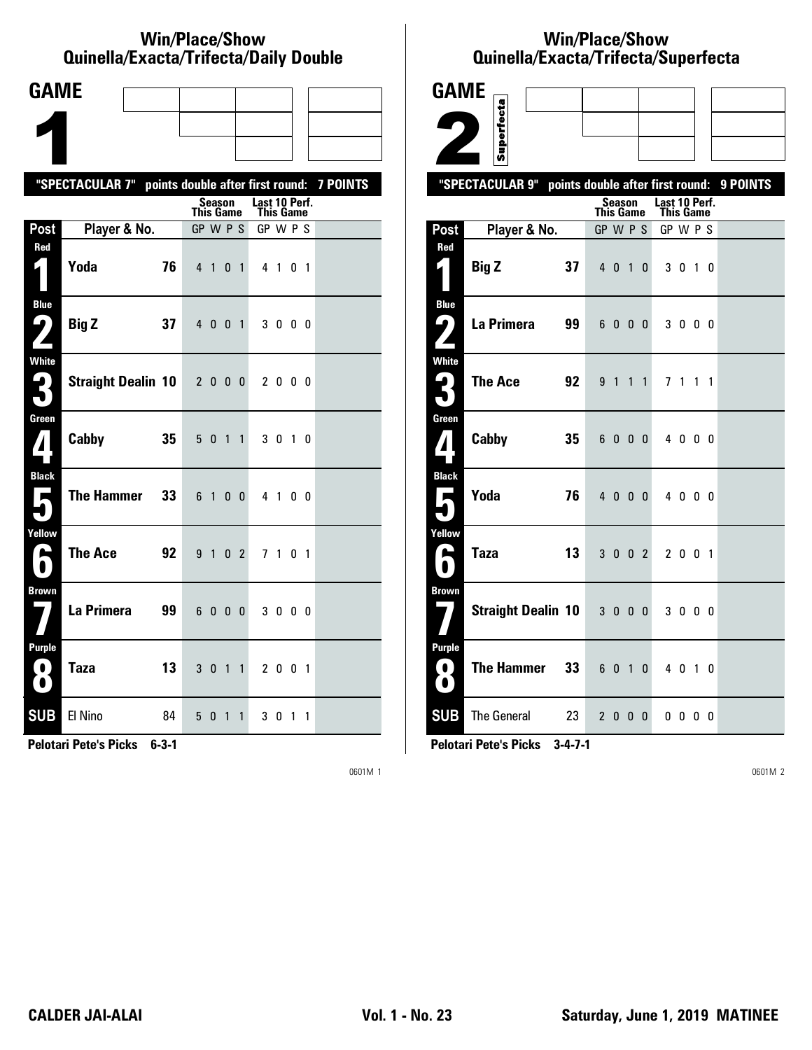#### **Win/Place/Show Qui nel la/Exacta/Tri fecta/Daily Dou ble**

| <b>GAME</b>                       |                                                           |    |                |          |                |                |                            |                |                |   |  |
|-----------------------------------|-----------------------------------------------------------|----|----------------|----------|----------------|----------------|----------------------------|----------------|----------------|---|--|
|                                   |                                                           |    |                |          |                |                |                            |                |                |   |  |
|                                   |                                                           |    |                |          |                |                |                            |                |                |   |  |
|                                   | "SPECTACULAR 7" points double after first round: 7 POINTS |    |                |          |                |                |                            |                |                |   |  |
|                                   |                                                           |    | This Game      | Season   |                |                | Last 10 Perf.<br>This Game |                |                |   |  |
| Post                              | Player & No.                                              |    | GP W P S       |          |                |                | GP W P S                   |                |                |   |  |
| Red                               | Yoda                                                      | 76 | 4 <sub>1</sub> |          | 0              | $\overline{1}$ |                            | 4 1 0 1        |                |   |  |
| <b>Blue</b><br>ŋ,<br>$\mathbf{Z}$ | <b>Big Z</b>                                              | 37 | $4\quad0$      |          | 0 <sub>1</sub> |                |                            | 3000           |                |   |  |
| White<br>3                        | <b>Straight Dealin 10</b>                                 |    | 2000           |          |                |                |                            | 2000           |                |   |  |
| Green<br>$\mathbf{Z}$             | Cabby                                                     | 35 | 5 <sub>0</sub> |          | $\overline{1}$ | $\overline{1}$ |                            | 3 0 1 0        |                |   |  |
| <b>Black</b><br>$\mathbf{r}$      | <b>The Hammer</b>                                         | 33 | 6 1            |          | $\mathbf{0}$   | $\mathbf{0}$   |                            | 4 1 0 0        |                |   |  |
| Yellow<br>ь                       | <b>The Ace</b>                                            | 92 | 9 <sub>1</sub> |          | $\mathbf{0}$   | $\overline{2}$ |                            | 7 <sub>1</sub> | 0 <sub>1</sub> |   |  |
| <b>Brown</b>                      | La Primera                                                | 99 |                | 6000     |                |                |                            | 3000           |                |   |  |
| Purple<br>0<br>$\bullet$          | <b>Taza</b>                                               | 13 | 3 <sub>0</sub> |          | $\overline{1}$ | $\mathbf{1}$   |                            | 2 0 0 1        |                |   |  |
| <b>SUB</b>                        | El Nino                                                   | 84 | 5              | $\bf{0}$ | $\overline{1}$ | $\mathbf{1}$   |                            | 301            |                | 1 |  |

**Pelotari Pete's Picks 6-3-1**

0601M 1

# **Win/Place/Show Qui nel la/Exacta/Tri fecta/Super fecta**

| <b>GAME</b>                                |                                                     |                       |        |              |              |                       |              |                |                |          |
|--------------------------------------------|-----------------------------------------------------|-----------------------|--------|--------------|--------------|-----------------------|--------------|----------------|----------------|----------|
|                                            | Superfecta                                          |                       |        |              |              |                       |              |                |                |          |
|                                            |                                                     |                       |        |              |              |                       |              |                |                |          |
|                                            |                                                     |                       |        |              |              |                       |              |                |                |          |
|                                            | "SPECTACULAR 9"<br>points double after first round: |                       | Season |              |              | Last 10 Perf.         |              |                |                | 9 POINTS |
| Post                                       | Player & No.                                        | This Game<br>GP W P S |        |              |              | This Game<br>GP W P S |              |                |                |          |
| Red                                        |                                                     |                       |        |              |              |                       |              |                |                |          |
|                                            | 37<br><b>Big Z</b>                                  |                       | 4 0 1  |              | 0            |                       | 30           | $\overline{1}$ | 0              |          |
| <b>Blue</b><br>ر ما                        | La Primera<br>99                                    | 6                     | 0      | - 0          | 0            |                       | 3000         |                |                |          |
| <b>White</b><br>$\blacktriangleleft$       | <b>The Ace</b><br>92                                |                       | 9 1    | $\mathbf{1}$ | $\mathbf{1}$ |                       | 71           | $\mathbf{1}$   | $\overline{1}$ |          |
| Green<br>${\bf 7}$                         | Cabby<br>35                                         |                       | 6000   |              |              |                       | 4000         |                |                |          |
| <b>Black</b><br>$\mathbf{\mathbf{\hat{}}}$ | Yoda<br>76                                          |                       | 4000   |              |              |                       | 4000         |                |                |          |
| Yellow<br>Œ                                | <b>Taza</b><br>13                                   |                       | $3002$ |              |              |                       | 2 0 0 1      |                |                |          |
| <b>Brown</b>                               | <b>Straight Dealin 10</b>                           |                       | $3000$ |              |              |                       | 3000         |                |                |          |
| <b>Purple</b><br>0<br>$\bullet$            | <b>The Hammer</b><br>33                             |                       | 6 0 1  |              | 0            |                       | 40           | $\overline{1}$ | $\Omega$       |          |
| <b>SUB</b>                                 | <b>The General</b><br>23                            |                       | 2000   |              |              |                       | $0\,0\,0\,0$ |                |                |          |

**Pelotari Pete's Picks 3-4-7-1**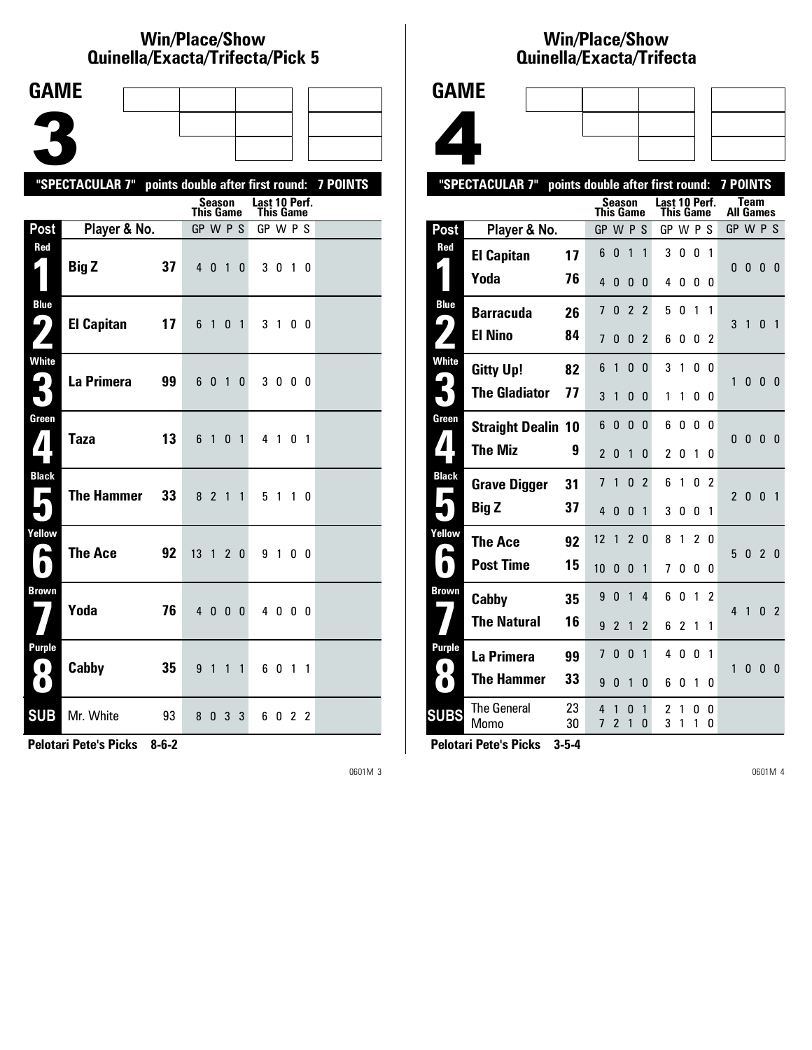## **Win/Place/Show Qui nel la/Exacta/Tri fecta/Pick 5**

| <b>GAME</b>                          |                                                           |    |                              |                |                |                |                              |         |                |           |  |
|--------------------------------------|-----------------------------------------------------------|----|------------------------------|----------------|----------------|----------------|------------------------------|---------|----------------|-----------|--|
|                                      |                                                           |    |                              |                |                |                |                              |         |                |           |  |
|                                      |                                                           |    |                              |                |                |                |                              |         |                |           |  |
|                                      |                                                           |    |                              |                |                |                |                              |         |                |           |  |
|                                      | "SPECTACULAR 7" points double after first round: 7 POINTS |    |                              | <b>Season</b>  |                |                | Last 10 Perf.                |         |                |           |  |
| Post                                 | Player & No.                                              |    | <b>This Game</b><br>GP W P S |                |                |                | <b>This Game</b><br>GP W P S |         |                |           |  |
| Red                                  |                                                           |    |                              |                |                |                |                              |         |                |           |  |
| $\mathbf{r}$                         | <b>Big Z</b>                                              | 37 | $4\quad0$                    |                | $\overline{1}$ | $\mathbf{0}$   |                              | 3 0 1 0 |                |           |  |
| <b>Blue</b><br>91                    | <b>El Capitan</b>                                         | 17 | 6                            | $\overline{1}$ | 0              | $\overline{1}$ | 3 <sub>1</sub>               |         |                | 00        |  |
| <b>White</b><br>₽.<br>$\blacksquare$ | La Primera                                                | 99 | 6                            | 0              | $\mathbf{1}$   | $\mathbf 0$    |                              | 3000    |                |           |  |
| Green<br>$\boldsymbol{I}$            | <b>Taza</b>                                               | 13 | 6                            | $\overline{1}$ | 0              | $\overline{1}$ |                              | 4 1     | 0 <sub>1</sub> |           |  |
| <b>Black</b><br>Е                    | <b>The Hammer</b>                                         | 33 | 8 <sub>2</sub>               |                | $\overline{1}$ | $\mathbf{1}$   |                              | 51      |                | $1\quad0$ |  |
| Yellow<br>е                          | The Ace                                                   | 92 | 13                           | $\overline{1}$ |                | 2 <sub>0</sub> | 91                           |         | 0 O            |           |  |
| <b>Brown</b>                         | Yoda                                                      | 76 | $4\quad0$                    |                | 0 <sub>0</sub> |                |                              | 4 0 0 0 |                |           |  |
| Purple<br>$\bullet$<br>$\bullet$     | Cabby                                                     | 35 | 9                            | $\overline{1}$ | $\mathbf{1}$   | $\mathbf{1}$   |                              | 60      | 1 1            |           |  |
| <b>SUB</b>                           | Mr. White                                                 | 93 |                              | 80             | 3              | 3              |                              | 6022    |                |           |  |

**Pelotari Pete's Picks 8-6-2**

0601M 3

## **Win/Place/Show Qui nel la/Exacta/Tri fecta**



|                        | "SPECTACULAR 7"            | points double after first round: |                          |                          |                |                |               |                |                |                | <b>7 POINTS</b>  |              |                |                |
|------------------------|----------------------------|----------------------------------|--------------------------|--------------------------|----------------|----------------|---------------|----------------|----------------|----------------|------------------|--------------|----------------|----------------|
|                        |                            |                                  | This Game                | Season                   |                |                | Last 10 Perf. | This Game      |                |                | <b>All Games</b> | <b>Team</b>  |                |                |
| Post                   | Player & No.               |                                  | GP W P S                 |                          |                |                | GP W P S      |                |                |                | GP W P S         |              |                |                |
| Red                    | <b>El Capitan</b>          | 17                               | 6                        | 0                        | 1              | 1              | 3             | 0              | $\mathbf{0}$   | 1              |                  |              |                |                |
|                        | Yoda                       | 76                               | 4                        | 0                        | 0              | 0              | 4             | 0              | 0              | 0              | $\Omega$         | 0            | $\mathbf{0}$   | $\Omega$       |
| <b>Blue</b>            | <b>Barracuda</b>           | 26                               | 7                        | 0                        | $\overline{2}$ | $\overline{c}$ | 5             | 0              | 1              | 1              |                  |              |                |                |
| $\blacktriangleright$  | <b>El Nino</b>             | 84                               | 7                        | 0                        | 0              | $\overline{2}$ | 6             | 0              | 0              | 2              | 3                | 1            | 0              | $\overline{1}$ |
| White                  | <b>Gitty Up!</b>           | 82                               | 6                        | 1                        | 0              | 0              | 3             | 1              | 0              | 0              |                  |              |                |                |
|                        | <b>The Gladiator</b>       | 77                               | 3                        | 1                        | 0              | 0              | 1             | 1              | 0              | 0              | 1                | 0            | $\mathbf{0}$   | - 0            |
| Green                  | <b>Straight Dealin 10</b>  |                                  | 6                        | 0                        | 0              | 0              | 6             | 0              | 0              | $\Omega$       | 0                | $\mathbf{0}$ | $\mathbf{0}$   | $\overline{0}$ |
| $\mathbf{1}$           | <b>The Miz</b>             | 9                                | $\overline{\phantom{a}}$ | 0                        | 1              | 0              | 2             | 0              | 1              | 0              |                  |              |                |                |
| <b>Black</b>           | <b>Grave Digger</b>        | 31                               | 7                        | 1                        | 0              | $\overline{2}$ | 6             | 1              | 0              | 2              | $\overline{2}$   |              | $\mathbf{0}$   |                |
| Е                      | <b>Big Z</b>               | 37                               | 4                        | 0                        | 0              | 1              | 3             | 0              | 0              | 1              |                  | $\mathbf{0}$ |                | $\overline{1}$ |
| Yellow                 | The Ace                    | 92                               | 12                       | 1                        | $\overline{2}$ | 0              | 8             | 1              | $\mathfrak{p}$ | 0              |                  |              |                |                |
| L<br>$\blacksquare$    | <b>Post Time</b>           | 15                               | 10                       | 0                        | 0              | 1              | 7             | 0              | 0              | 0              | 5                | $\mathbf{0}$ | $\overline{2}$ | 0              |
| Brown                  | Cabby                      | 35                               | 9                        | 0                        | 1              | 4              | 6             | 0              | 1              | $\overline{c}$ |                  |              |                |                |
|                        | <b>The Natural</b>         | 16                               | 9                        | $\overline{\phantom{a}}$ | 1              | $\overline{2}$ | 6             | $\overline{2}$ | 1              | 1              | 4                | 1            | $\mathbf{0}$   | $\overline{2}$ |
| <b>Purple</b>          | La Primera                 | 99                               | 7                        | 0                        | 0              | 1              | 4             | 0              | 0              | 1              |                  |              |                |                |
| $\bullet$<br>$\bullet$ | <b>The Hammer</b>          | 33                               | 9                        | 0                        | 1              | 0              | 6             | 0              | 1              | 0              | 1                | $\mathbf{0}$ | $\mathbf{0}$   | - 0            |
| <b>SUBS</b>            | <b>The General</b><br>Momo | 23<br>30                         | 4<br>7                   | 1<br>$\overline{2}$      | 0<br>1         | 1<br>$\Omega$  | 2<br>3        | 1<br>1         | 0<br>1         | 0<br>0         |                  |              |                |                |
|                        |                            |                                  |                          |                          |                |                |               |                |                |                |                  |              |                |                |

**Pelotari Pete's Picks 3-5-4**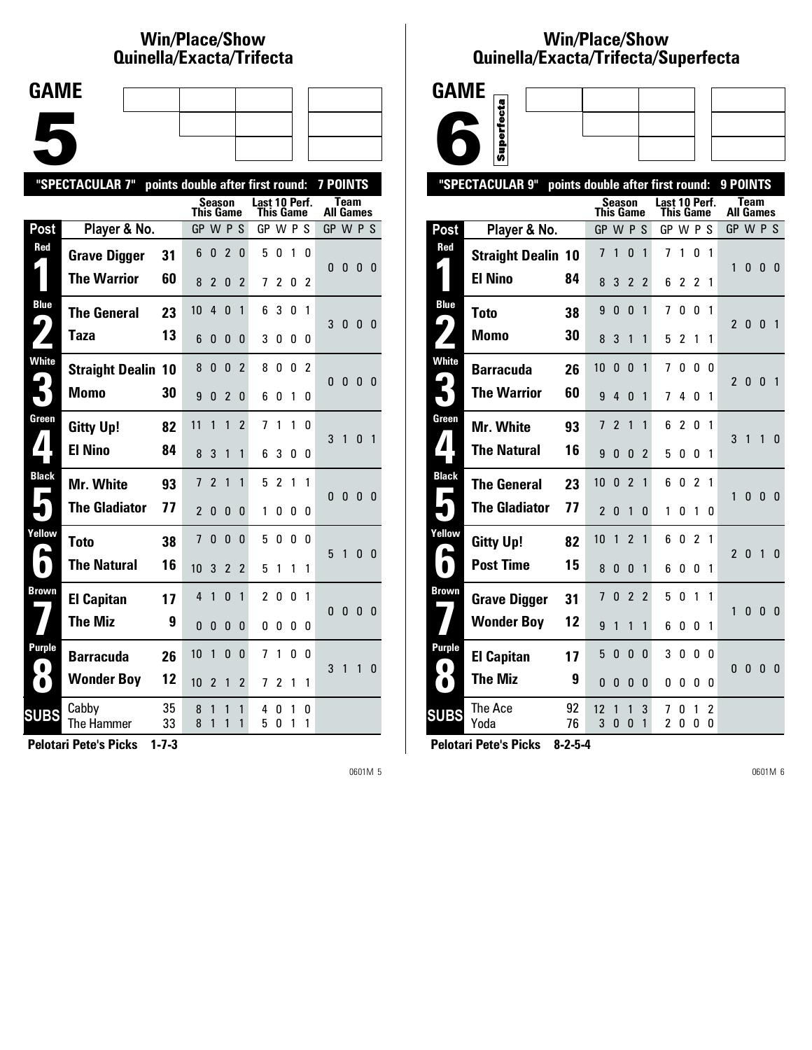# **Win/Place/Show Qui nel la/Exacta/Tri fecta**

| <b>GAME</b> |  |  |
|-------------|--|--|
|             |  |  |
|             |  |  |
|             |  |  |
|             |  |  |
|             |  |  |
|             |  |  |

|                     | "SPECTACULAR 7"           |          | points double after first round: |                |                |                |                            | <b>7 POINTS</b> |        |                |           |              |              |                |
|---------------------|---------------------------|----------|----------------------------------|----------------|----------------|----------------|----------------------------|-----------------|--------|----------------|-----------|--------------|--------------|----------------|
|                     |                           |          | <b>This Game</b>                 | Season         |                |                | Last 10 Perf.<br>This Game |                 |        |                | All Games | Team         |              |                |
| Post                | Player & No.              |          | GP W P S                         |                |                |                | GP W P S                   |                 |        |                | GP W P S  |              |              |                |
| Red                 | <b>Grave Digger</b>       | 31       | 6                                | 0              | $\overline{2}$ | 0              | 5                          | 0               | 1      | 0              | 0         | 0            | $\bf{0}$     | - 0            |
|                     | <b>The Warrior</b>        | 60       | 8                                | $\overline{2}$ | 0              | 2              | 7                          | 2               | 0      | 2              |           |              |              |                |
| <b>Blue</b>         | <b>The General</b>        | 23       | 10                               | $\overline{4}$ | 0              | 1              | 6                          | 3               | 0      | 1              | 3         | $\bf{0}$     | $\mathbf{0}$ | - 0            |
|                     | <b>Taza</b>               | 13       | 6                                | 0              | $\mathbf{0}$   | 0              | 3                          | 0               | 0      | 0              |           |              |              |                |
| <b>White</b>        | <b>Straight Dealin 10</b> |          | 8                                | 0              | 0              | $\overline{2}$ | 8                          | 0               | 0      | $\overline{2}$ | 0         | 0            | 0            | - 0            |
|                     | Momo                      | 30       | 9                                | 0              | $\overline{2}$ | 0              | 6                          | O               | 1      | 0              |           |              |              |                |
| Green               | <b>Gitty Up!</b>          | 82       | 11                               | 1              | 1              | $\overline{2}$ | 7                          | 1               | 1      | 0              | 3         | 1            | 0            | $\overline{1}$ |
| $\blacktriangle$    | <b>El Nino</b>            | 84       | 8                                | 3              | 1              | 1              | 6                          | 3               | 0      | 0              |           |              |              |                |
| <b>Black</b>        | Mr. White                 | 93       | 7                                | $\overline{2}$ | 1              | 1              | 5                          | $\mathfrak z$   | 1      | 1              | 0         | 0            | 0            | - 0            |
|                     | <b>The Gladiator</b>      | 77       | $\overline{2}$                   | 0              | $\mathbf{0}$   | 0              | 1                          | O               | 0      | 0              |           |              |              |                |
| Yellow              | <b>Toto</b>               | 38       | 7                                | 0              | $\Omega$       | 0              | 5                          | $\mathbf{0}$    | 0      | 0              | 5         | $\mathbf{1}$ | 0            | - 0            |
| $\blacksquare$      | <b>The Natural</b>        | 16       | 10                               | 3              | $\overline{2}$ | $\overline{2}$ | 5                          | 1               | 1      | 1              |           |              |              |                |
| <b>Brown</b>        | <b>El Capitan</b>         | 17       | 4                                | 1              | $\Omega$       | 1              | $\overline{c}$             | 0               | 0      | 1              | 0         | 0            | 0            | - 0            |
|                     | <b>The Miz</b>            | 9        | $\Omega$                         | 0              | 0              | 0              | 0                          | 0               | 0      | 0              |           |              |              |                |
| Purple<br>$\bullet$ | <b>Barracuda</b>          | 26       | 10                               | 1              | 0              | 0              | 7                          | 1               | 0      | 0              | 3         | 1            | 1            | $\mathbf{0}$   |
| $\bullet$           | <b>Wonder Boy</b>         | 12       | 10                               | 2              | 1              | 2              | 7                          | 2               | 1      | 1              |           |              |              |                |
| <b>SUBS</b>         | Cabby<br>The Hammer       | 35<br>33 | 8<br>8                           | 1<br>1         | 1<br>1         | 1<br>1         | 4<br>5                     | 0<br>0          | 1<br>1 | 0<br>1         |           |              |              |                |
|                     |                           |          |                                  |                |                |                |                            |                 |        |                |           |              |              |                |

**Pelotari Pete's Picks 1-7-3**

0601M 5

### **Win/Place/Show Qui nel la/Exacta/Tri fecta/Super fecta**



|                            | "SPECTACULAR 9"           | points double after first round: |                  |                |                |                |                            |                |                |              | 9 POINTS         |              |              |                |
|----------------------------|---------------------------|----------------------------------|------------------|----------------|----------------|----------------|----------------------------|----------------|----------------|--------------|------------------|--------------|--------------|----------------|
|                            |                           |                                  | <b>This Game</b> | Season         |                |                | Last 10 Perf.<br>This Game |                |                |              | <b>All Games</b> | Team         |              |                |
| Post                       | Player & No.              |                                  | GP W P S         |                |                |                | GP W P S                   |                |                |              | GP W P S         |              |              |                |
| Red                        | <b>Straight Dealin 10</b> |                                  | 7                | 1              | $\mathbf{0}$   | $\mathbf{1}$   | 7                          | 1              | 0              | $\mathbf{1}$ | 1                |              |              |                |
|                            | <b>El Nino</b>            | 84                               | 8                | 3              | 2              | 2              | 6                          | 2              | 2              | 1            |                  | 0            | 0            | - 0            |
| <b>Blue</b>                | <b>Toto</b>               | 38                               | 9                | $\mathbf{0}$   | $\mathbf{0}$   | $\mathbf{1}$   | 7                          | 0              | 0              | 1            | $\mathcal{P}$    | $\mathbf{0}$ | $\mathbf{0}$ |                |
| $\blacklozenge$            | Momo                      | 30                               | 8                | 3              | 1              | 1              | 5                          | 2              | 1              | 1            |                  |              |              | 1              |
| <b>White</b>               | <b>Barracuda</b>          | 26                               | 10               | 0              | 0              | 1              | 7                          | 0              | $\mathbf{0}$   | 0            | $\mathfrak z$    | $\mathbf{0}$ | $\Omega$     | 1              |
| 5                          | <b>The Warrior</b>        | 60                               | 9                | 4              | $\Omega$       | 1              | 7                          | 4              | 0              | 1            |                  |              |              |                |
| Green                      | Mr. White                 | 93                               | 7                | $\overline{2}$ | 1              | 1              | 6                          | $\overline{c}$ | 0              | 1            | 3                | 1            | 1            | 0              |
| $\mathbf{1}$               | <b>The Natural</b>        | 16                               | 9                | $\mathbf{0}$   | 0              | $\overline{2}$ | 5                          | 0              | 0              | 1            |                  |              |              |                |
| <b>Black</b><br>Е          | <b>The General</b>        | 23                               | 10               | $\mathbf{0}$   | $\mathfrak{p}$ | 1              | 6                          | 0              | 2              | 1            | 1                | 0            | $\mathbf{0}$ | - 0            |
|                            | <b>The Gladiator</b>      | 77                               | $\overline{2}$   | 0              | 1              | 0              | 1                          | 0              | 1              | 0            |                  |              |              |                |
| Yellow<br>r.               | <b>Gitty Up!</b>          | 82                               | 10               | 1              | $\overline{2}$ | 1              | 6                          | 0              | $\overline{2}$ | 1            | $\mathfrak{p}$   | $\Omega$     | $\mathbf{1}$ | $\overline{0}$ |
| $\bullet$                  | <b>Post Time</b>          | 15                               | 8                | $\mathbf{0}$   | $\mathbf{0}$   | 1              | 6                          | 0              | 0              | 1            |                  |              |              |                |
| Brown                      | <b>Grave Digger</b>       | 31                               | 7                | $\mathbf{0}$   | $\overline{2}$ | $\overline{2}$ | 5                          | 0              | 1              | 1            | 1                | $\mathbf{0}$ | $\mathbf{0}$ | - 0            |
|                            | <b>Wonder Boy</b>         | 12                               | 9                | 1              | 1              | 1              | 6                          | 0              | 0              | 1            |                  |              |              |                |
| <b>Purple</b><br>$\bullet$ | <b>El Capitan</b>         | 17                               | 5                | 0              | 0              | 0              | 3                          | 0              | $\mathbf{0}$   | 0            | 0                | 0            | $\mathbf{0}$ | - 0            |
| $\bullet$                  | <b>The Miz</b>            | 9                                | 0                | $\mathbf{0}$   | 0              | 0              | 0                          | 0              | 0              | 0            |                  |              |              |                |
| <b>SUBS</b>                | The Ace<br>Yoda           | 92<br>76                         | 12<br>3          | 1<br>0         | 1<br>$\Omega$  | 3<br>1         | 7<br>2                     | 0<br>0         | 1<br>0         | 2<br>0       |                  |              |              |                |
|                            |                           |                                  |                  |                |                |                |                            |                |                |              |                  |              |              |                |

**Pelotari Pete's Picks 8-2-5-4**